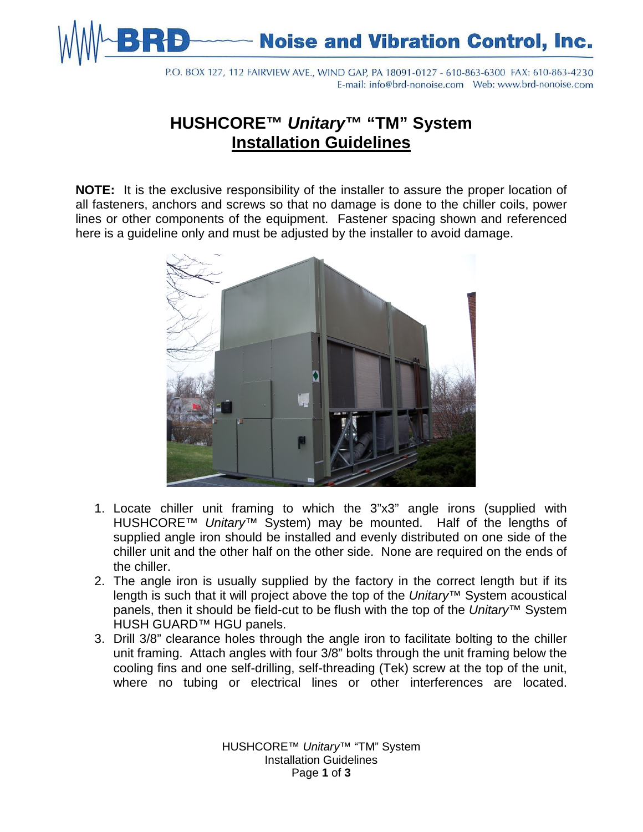**Noise and Vibration Control, Inc.** 

P.O. BOX 127, 112 FAIRVIEW AVE., WIND GAP, PA 18091-0127 - 610-863-6300 FAX: 610-863-4230 

## **HUSHCORE™** *Unitary***™ "TM" System Installation Guidelines**

**NOTE:** It is the exclusive responsibility of the installer to assure the proper location of all fasteners, anchors and screws so that no damage is done to the chiller coils, power lines or other components of the equipment. Fastener spacing shown and referenced here is a guideline only and must be adjusted by the installer to avoid damage.



- 1. Locate chiller unit framing to which the 3"x3" angle irons (supplied with HUSHCORE™ *Unitary*™ System) may be mounted. Half of the lengths of supplied angle iron should be installed and evenly distributed on one side of the chiller unit and the other half on the other side. None are required on the ends of the chiller.
- 2. The angle iron is usually supplied by the factory in the correct length but if its length is such that it will project above the top of the *Unitary™* System acoustical panels, then it should be field-cut to be flush with the top of the *Unitary*™ System HUSH GUARD™ HGU panels.
- 3. Drill 3/8" clearance holes through the angle iron to facilitate bolting to the chiller unit framing. Attach angles with four 3/8" bolts through the unit framing below the cooling fins and one self-drilling, self-threading (Tek) screw at the top of the unit, where no tubing or electrical lines or other interferences are located.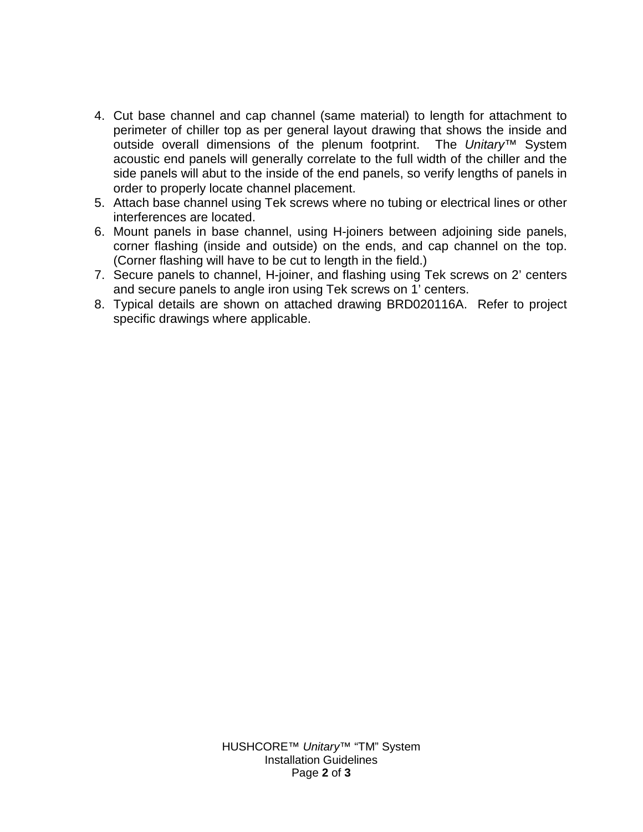- 4. Cut base channel and cap channel (same material) to length for attachment to perimeter of chiller top as per general layout drawing that shows the inside and outside overall dimensions of the plenum footprint. The *Unitary*™ System acoustic end panels will generally correlate to the full width of the chiller and the side panels will abut to the inside of the end panels, so verify lengths of panels in order to properly locate channel placement.
- 5. Attach base channel using Tek screws where no tubing or electrical lines or other interferences are located.
- 6. Mount panels in base channel, using H-joiners between adjoining side panels, corner flashing (inside and outside) on the ends, and cap channel on the top. (Corner flashing will have to be cut to length in the field.)
- 7. Secure panels to channel, H-joiner, and flashing using Tek screws on 2' centers and secure panels to angle iron using Tek screws on 1' centers.
- 8. Typical details are shown on attached drawing BRD020116A. Refer to project specific drawings where applicable.